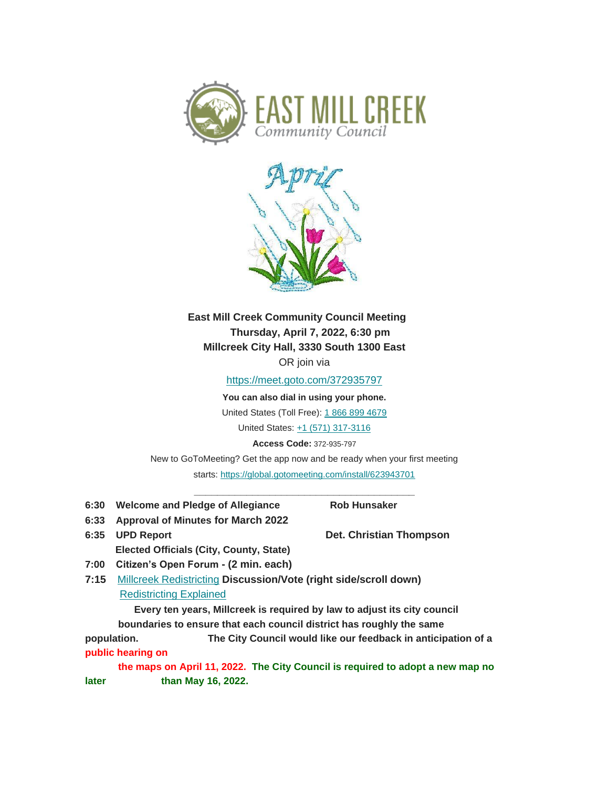



**East Mill Creek Community Council Meeting Thursday, April 7, 2022, 6:30 pm Millcreek City Hall, 3330 South 1300 East** OR join via

[https://meet.goto.com/372935797](https://urldefense.proofpoint.com/v2/url?u=https-3A__facebook.us16.list-2Dmanage.com_track_click-3Fu-3D88b7b8af06db6edd8eafa66a3-26id-3Dceb45b5c62-26e-3D908121dc53&d=DwMFaQ&c=euGZstcaTDllvimEN8b7jXrwqOf-v5A_CdpgnVfiiMM&r=n6RKFQ7CqxU7G7jpOCiZFOuC03qg2hG5u5kGPbytz8c&m=vIz8hK8n9UFxXCFcJAkAfEMdh-5LGGnmQP0qFLwydK0&s=7kQfNBgkdqESJ0WHp8O3cHGx7HoBzYFoPq_GlwqdXw4&e=)

**You can also dial in using your phone.**

United States (Toll Free): [1 866 899 4679](tel:+18668994679,,264497069)

United States: [+1 \(571\) 317-3116](tel:+15713173116,,264497069)

**Access Code:** 372-935-797

New to GoToMeeting? Get the app now and be ready when your first meeting starts: [https://global.gotomeeting.com/install/623943701](https://urldefense.proofpoint.com/v2/url?u=https-3A__facebook.us16.list-2Dmanage.com_track_click-3Fu-3D88b7b8af06db6edd8eafa66a3-26id-3Dbc2fdc00a9-26e-3D908121dc53&d=DwMFaQ&c=euGZstcaTDllvimEN8b7jXrwqOf-v5A_CdpgnVfiiMM&r=n6RKFQ7CqxU7G7jpOCiZFOuC03qg2hG5u5kGPbytz8c&m=vIz8hK8n9UFxXCFcJAkAfEMdh-5LGGnmQP0qFLwydK0&s=BDcy2ZcX0zeCZvJRoEQ3ifak9sjlfIp4tgk2xjkP8n4&e=)

**\_\_\_\_\_\_\_\_\_\_\_\_\_\_\_\_\_\_\_\_\_\_\_\_\_\_\_\_\_\_\_\_\_\_\_\_\_\_**

- **6:30 Welcome and Pledge of Allegiance Rob Hunsaker**
- **6:33 Approval of Minutes for March 2022**

**6:35 UPD Report Det. Christian Thompson Elected Officials (City, County, State)**

- **7:00 Citizen's Open Forum - (2 min. each)**
- **7:15** [Millcreek Redistricting](https://urldefense.proofpoint.com/v2/url?u=https-3A__facebook.us16.list-2Dmanage.com_track_click-3Fu-3D88b7b8af06db6edd8eafa66a3-26id-3Df8cd7d95be-26e-3D908121dc53&d=DwMFaQ&c=euGZstcaTDllvimEN8b7jXrwqOf-v5A_CdpgnVfiiMM&r=n6RKFQ7CqxU7G7jpOCiZFOuC03qg2hG5u5kGPbytz8c&m=vIz8hK8n9UFxXCFcJAkAfEMdh-5LGGnmQP0qFLwydK0&s=JG0NPu1GcDXUTr6g0GraYki3FVu4_2eBnQmL_aPzGcU&e=) **Discussion/Vote (right side/scroll down)** [Redistricting Explained](https://urldefense.proofpoint.com/v2/url?u=https-3A__facebook.us16.list-2Dmanage.com_track_click-3Fu-3D88b7b8af06db6edd8eafa66a3-26id-3D42fed9ffab-26e-3D908121dc53&d=DwMFaQ&c=euGZstcaTDllvimEN8b7jXrwqOf-v5A_CdpgnVfiiMM&r=n6RKFQ7CqxU7G7jpOCiZFOuC03qg2hG5u5kGPbytz8c&m=vIz8hK8n9UFxXCFcJAkAfEMdh-5LGGnmQP0qFLwydK0&s=HsgyK1pvfJ9p37izqu5-ufXuT1bdx96Tcf-WNJEqwSQ&e=)

 **Every ten years, Millcreek is required by law to adjust its city council boundaries to ensure that each council district has roughly the same** 

**population. The City Council would like our feedback in anticipation of a public hearing on**

**the maps on April 11, 2022. The City Council is required to adopt a new map no later than May 16, 2022.**